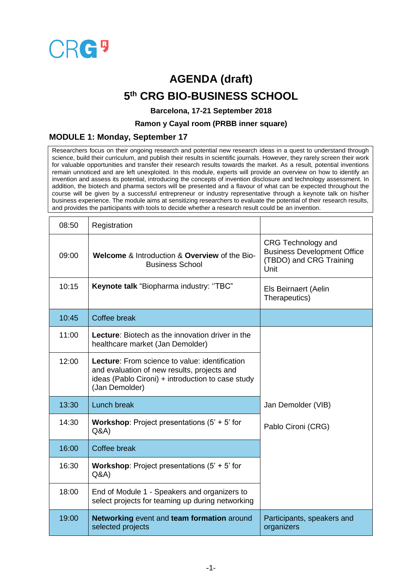

# **AGENDA (draft) 5 th CRG BIO-BUSINESS SCHOOL**

#### **Barcelona, 17-21 September 2018**

### **Ramon y Cayal room (PRBB inner square)**

### **MODULE 1: Monday, September 17**

Researchers focus on their ongoing research and potential new research ideas in a quest to understand through science, build their curriculum, and publish their results in scientific journals. However, they rarely screen their work for valuable opportunities and transfer their research results towards the market. As a result, potential inventions remain unnoticed and are left unexploited. In this module, experts will provide an overview on how to identify an invention and assess its potential, introducing the concepts of invention disclosure and technology assessment. In addition, the biotech and pharma sectors will be presented and a flavour of what can be expected throughout the course will be given by a successful entrepreneur or industry representative through a keynote talk on his/her business experience. The module aims at sensitizing researchers to evaluate the potential of their research results, and provides the participants with tools to decide whether a research result could be an invention.

| 08:50 | Registration                                                                                                                                                                |                                                                                             |
|-------|-----------------------------------------------------------------------------------------------------------------------------------------------------------------------------|---------------------------------------------------------------------------------------------|
| 09:00 | Welcome & Introduction & Overview of the Bio-<br><b>Business School</b>                                                                                                     | CRG Technology and<br><b>Business Development Office</b><br>(TBDO) and CRG Training<br>Unit |
| 10:15 | Keynote talk "Biopharma industry: "TBC"                                                                                                                                     | Els Beirnaert (Aelin<br>Therapeutics)                                                       |
| 10:45 | Coffee break                                                                                                                                                                |                                                                                             |
| 11:00 | <b>Lecture:</b> Biotech as the innovation driver in the<br>healthcare market (Jan Demolder)                                                                                 |                                                                                             |
| 12:00 | <b>Lecture:</b> From science to value: identification<br>and evaluation of new results, projects and<br>ideas (Pablo Cironi) + introduction to case study<br>(Jan Demolder) |                                                                                             |
| 13:30 | Lunch break                                                                                                                                                                 | Jan Demolder (VIB)                                                                          |
| 14:30 | <b>Workshop:</b> Project presentations $(5' + 5')$ for<br>Q&A                                                                                                               | Pablo Cironi (CRG)                                                                          |
| 16:00 | Coffee break                                                                                                                                                                |                                                                                             |
| 16:30 | <b>Workshop:</b> Project presentations $(5' + 5')$ for<br>Q&A                                                                                                               |                                                                                             |
| 18:00 | End of Module 1 - Speakers and organizers to<br>select projects for teaming up during networking                                                                            |                                                                                             |
| 19:00 | Networking event and team formation around<br>selected projects                                                                                                             | Participants, speakers and<br>organizers                                                    |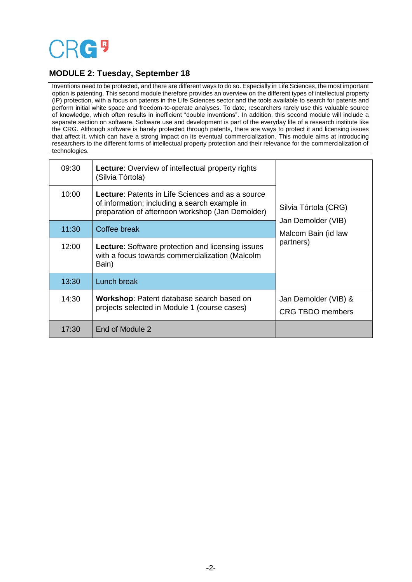# **CRG5**

## **MODULE 2: Tuesday, September 18**

Inventions need to be protected, and there are different ways to do so. Especially in Life Sciences, the most important option is patenting. This second module therefore provides an overview on the different types of intellectual property (IP) protection, with a focus on patents in the Life Sciences sector and the tools available to search for patents and perform initial white space and freedom-to-operate analyses. To date, researchers rarely use this valuable source of knowledge, which often results in inefficient "double inventions". In addition, this second module will include a separate section on software. Software use and development is part of the everyday life of a research institute like the CRG. Although software is barely protected through patents, there are ways to protect it and licensing issues that affect it, which can have a strong impact on its eventual commercialization. This module aims at introducing researchers to the different forms of intellectual property protection and their relevance for the commercialization of technologies.

| 09:30 | <b>Lecture:</b> Overview of intellectual property rights<br>(Silvia Tórtola)                                                                                  | Silvia Tórtola (CRG)<br>Jan Demolder (VIB)<br>Malcom Bain (id law<br>partners) |
|-------|---------------------------------------------------------------------------------------------------------------------------------------------------------------|--------------------------------------------------------------------------------|
| 10:00 | <b>Lecture:</b> Patents in Life Sciences and as a source<br>of information; including a search example in<br>preparation of afternoon workshop (Jan Demolder) |                                                                                |
| 11:30 | Coffee break                                                                                                                                                  |                                                                                |
| 12:00 | <b>Lecture:</b> Software protection and licensing issues<br>with a focus towards commercialization (Malcolm<br>Bain)                                          |                                                                                |
| 13:30 | Lunch break                                                                                                                                                   |                                                                                |
| 14:30 | <b>Workshop:</b> Patent database search based on<br>projects selected in Module 1 (course cases)                                                              | Jan Demolder (VIB) &<br>CRG TBDO members                                       |
| 17:30 | End of Module 2                                                                                                                                               |                                                                                |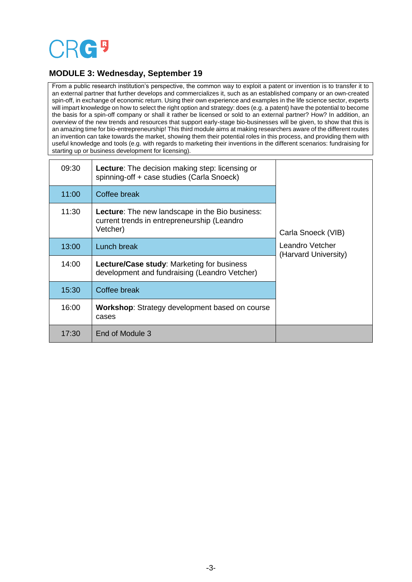

# **MODULE 3: Wednesday, September 19**

From a public research institution's perspective, the common way to exploit a patent or invention is to transfer it to an external partner that further develops and commercializes it, such as an established company or an own-created spin-off, in exchange of economic return. Using their own experience and examples in the life science sector, experts will impart knowledge on how to select the right option and strategy: does (e.g. a patent) have the potential to become the basis for a spin-off company or shall it rather be licensed or sold to an external partner? How? In addition, an overview of the new trends and resources that support early-stage bio-businesses will be given, to show that this is an amazing time for bio-entrepreneurship! This third module aims at making researchers aware of the different routes an invention can take towards the market, showing them their potential roles in this process, and providing them with useful knowledge and tools (e.g. with regards to marketing their inventions in the different scenarios: fundraising for starting up or business development for licensing).

| 09:30 | <b>Lecture:</b> The decision making step: licensing or<br>spinning-off + case studies (Carla Snoeck)              | Carla Snoeck (VIB)<br>Leandro Vetcher<br>(Harvard University) |
|-------|-------------------------------------------------------------------------------------------------------------------|---------------------------------------------------------------|
| 11:00 | Coffee break                                                                                                      |                                                               |
| 11:30 | <b>Lecture:</b> The new landscape in the Bio business:<br>current trends in entrepreneurship (Leandro<br>Vetcher) |                                                               |
| 13:00 | Lunch break                                                                                                       |                                                               |
| 14:00 | Lecture/Case study: Marketing for business<br>development and fundraising (Leandro Vetcher)                       |                                                               |
| 15:30 | Coffee break                                                                                                      |                                                               |
| 16:00 | <b>Workshop:</b> Strategy development based on course<br>cases                                                    |                                                               |
| 17:30 | End of Module 3                                                                                                   |                                                               |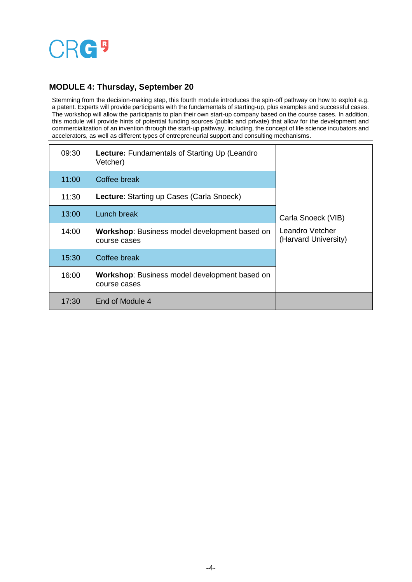

### **MODULE 4: Thursday, September 20**

Stemming from the decision-making step, this fourth module introduces the spin-off pathway on how to exploit e.g. a patent. Experts will provide participants with the fundamentals of starting-up, plus examples and successful cases. The workshop will allow the participants to plan their own start-up company based on the course cases. In addition, this module will provide hints of potential funding sources (public and private) that allow for the development and commercialization of an invention through the start-up pathway, including, the concept of life science incubators and accelerators, as well as different types of entrepreneurial support and consulting mechanisms.

| 09:30 | <b>Lecture:</b> Fundamentals of Starting Up (Leandro)<br>Vetcher)    | Carla Snoeck (VIB)<br>Leandro Vetcher<br>(Harvard University) |
|-------|----------------------------------------------------------------------|---------------------------------------------------------------|
| 11:00 | Coffee break                                                         |                                                               |
| 11:30 | <b>Lecture:</b> Starting up Cases (Carla Snoeck)                     |                                                               |
| 13:00 | Lunch break                                                          |                                                               |
| 14:00 | <b>Workshop:</b> Business model development based on<br>course cases |                                                               |
| 15:30 | Coffee break                                                         |                                                               |
| 16:00 | <b>Workshop:</b> Business model development based on<br>course cases |                                                               |
| 17:30 | End of Module 4                                                      |                                                               |